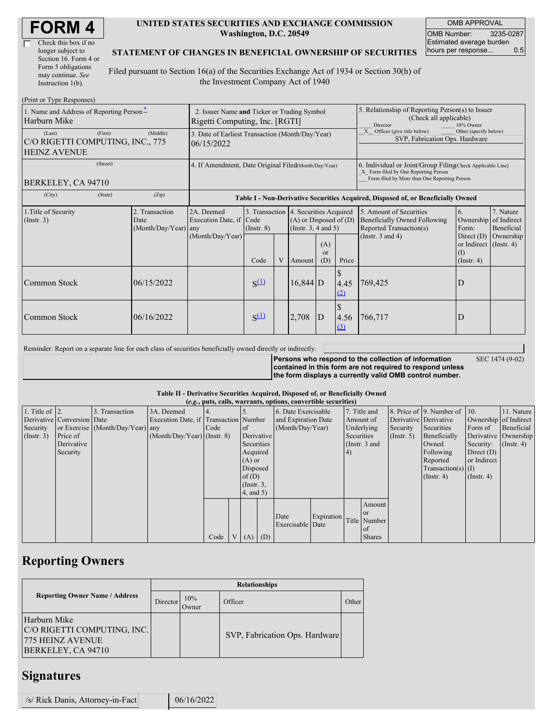| Check this box if no  |
|-----------------------|
| longer subject to     |
| Section 16. Form 4 or |
| Form 5 obligations    |
| may continue. See     |
| Instruction 1(b).     |

#### **UNITED STATES SECURITIES AND EXCHANGE COMMISSION Washington, D.C. 20549**

OMB APPROVAL OMB Number: 3235-0287 Estimated average burden hours per response... 0.5

#### **STATEMENT OF CHANGES IN BENEFICIAL OWNERSHIP OF SECURITIES**

Filed pursuant to Section 16(a) of the Securities Exchange Act of 1934 or Section 30(h) of the Investment Company Act of 1940

| (Print or Type Responses)                                         |         |                                                |                                                                                  |                 |   |                                                                                                                    |     |             |                                                                                                                                                    |                                                                                             |                                      |  |
|-------------------------------------------------------------------|---------|------------------------------------------------|----------------------------------------------------------------------------------|-----------------|---|--------------------------------------------------------------------------------------------------------------------|-----|-------------|----------------------------------------------------------------------------------------------------------------------------------------------------|---------------------------------------------------------------------------------------------|--------------------------------------|--|
| 1. Name and Address of Reporting Person-<br>Harburn Mike          |         |                                                | 2. Issuer Name and Ticker or Trading Symbol<br>Rigetti Computing, Inc. [RGTI]    |                 |   |                                                                                                                    |     |             | 5. Relationship of Reporting Person(s) to Issuer<br>(Check all applicable)<br>Director<br>10% Owner                                                |                                                                                             |                                      |  |
| (Last)<br>C/O RIGETTI COMPUTING, INC., 775<br><b>HEINZ AVENUE</b> | (First) | (Middle)                                       | 3. Date of Earliest Transaction (Month/Day/Year)<br>06/15/2022                   |                 |   |                                                                                                                    |     |             | X Officer (give title below)<br>Other (specify below)<br>SVP, Fabrication Ops. Hardware                                                            |                                                                                             |                                      |  |
| (Street)<br>BERKELEY, CA 94710                                    |         |                                                | 4. If Amendment, Date Original Filed(Month/Day/Year)                             |                 |   |                                                                                                                    |     |             | 6. Individual or Joint/Group Filing Check Applicable Line)<br>X Form filed by One Reporting Person<br>Form filed by More than One Reporting Person |                                                                                             |                                      |  |
| (City)                                                            | (State) | (Zip)                                          | Table I - Non-Derivative Securities Acquired, Disposed of, or Beneficially Owned |                 |   |                                                                                                                    |     |             |                                                                                                                                                    |                                                                                             |                                      |  |
| 1. Title of Security<br>(Insert. 3)                               |         | 2. Transaction<br>Date<br>(Month/Day/Year) any | 2A. Deemed<br>Execution Date, if Code<br>(Month/Day/Year)                        | $($ Instr. $8)$ |   | 3. Transaction 4. Securities Acquired<br>$(A)$ or Disposed of $(D)$<br>(Instr. $3, 4$ and $5$ )<br>(A)<br>$\alpha$ |     |             | 5. Amount of Securities<br><b>Beneficially Owned Following</b><br>Reported Transaction(s)<br>(Instr. $3$ and $4$ )                                 | 6.<br>Ownership of Indirect<br>Form:<br>Direct $(D)$<br>or Indirect $($ Instr. 4 $)$<br>(1) | 7. Nature<br>Beneficial<br>Ownership |  |
|                                                                   |         |                                                |                                                                                  | Code            | V | Amount                                                                                                             | (D) | Price       |                                                                                                                                                    | $($ Instr. 4 $)$                                                                            |                                      |  |
| Common Stock                                                      |         | 06/15/2022                                     |                                                                                  | $S^{(1)}$       |   | $16,844$ D                                                                                                         |     | 4.45<br>(2) | 769,425                                                                                                                                            | D                                                                                           |                                      |  |
| <b>Common Stock</b>                                               |         | 06/16/2022                                     |                                                                                  | $S^{(1)}$       |   | 2,708                                                                                                              | D   | 4.56<br>(3) | 766,717                                                                                                                                            | D                                                                                           |                                      |  |

Reminder: Report on a separate line for each class of securities beneficially owned directly or indirectly.

**Persons who respond to the collection of information contained in this form are not required to respond unless the form displays a currently valid OMB control number.** SEC 1474 (9-02)

**Table II - Derivative Securities Acquired, Disposed of, or Beneficially Owned**

| (e.g., puts, calls, warrants, options, convertible securities) |                            |                                  |                                       |      |  |               |                     |                          |            |                |                  |                       |                          |                  |                  |
|----------------------------------------------------------------|----------------------------|----------------------------------|---------------------------------------|------|--|---------------|---------------------|--------------------------|------------|----------------|------------------|-----------------------|--------------------------|------------------|------------------|
| 1. Title of $\vert$ 2.                                         |                            | 3. Transaction                   | 3A. Deemed                            |      |  |               |                     | 6. Date Exercisable      |            |                | 7. Title and     |                       | 8. Price of 9. Number of | $\vert$ 10.      | 11. Nature       |
|                                                                | Derivative Conversion Date |                                  | Execution Date, if Transaction Number |      |  |               | and Expiration Date |                          | Amount of  |                |                  | Derivative Derivative | Ownership of Indirect    |                  |                  |
| Security                                                       |                            | or Exercise (Month/Day/Year) any |                                       | Code |  | of            | (Month/Day/Year)    |                          | Underlying |                | Security         | Securities            | Form of                  | Beneficial       |                  |
| $($ Instr. 3 $)$                                               | Price of                   |                                  | $(Month/Day/Year)$ (Instr. 8)         |      |  | Derivative    |                     |                          | Securities |                | $($ Instr. 5 $)$ | Beneficially          | Derivative Ownership     |                  |                  |
|                                                                | Derivative                 |                                  |                                       |      |  | Securities    |                     |                          |            |                | (Instr. 3 and    |                       | Owned                    | Security:        | $($ Instr. 4 $)$ |
|                                                                | Security                   |                                  |                                       |      |  | Acquired      |                     |                          |            | 4 <sup>1</sup> |                  |                       | Following                | Direct $(D)$     |                  |
|                                                                |                            |                                  |                                       |      |  | $(A)$ or      |                     |                          |            |                |                  |                       | Reported                 | or Indirect      |                  |
|                                                                |                            |                                  |                                       |      |  | Disposed      |                     |                          |            |                |                  |                       | Transaction(s) $(I)$     |                  |                  |
|                                                                |                            |                                  |                                       |      |  | of $(D)$      |                     |                          |            |                |                  |                       | $($ Instr. 4 $)$         | $($ Instr. 4 $)$ |                  |
|                                                                |                            |                                  |                                       |      |  | $($ Instr. 3, |                     |                          |            |                |                  |                       |                          |                  |                  |
|                                                                |                            |                                  |                                       |      |  |               | $4$ , and $5)$      |                          |            |                |                  |                       |                          |                  |                  |
|                                                                |                            |                                  |                                       |      |  |               |                     |                          |            |                | Amount           |                       |                          |                  |                  |
|                                                                |                            |                                  |                                       |      |  |               |                     |                          | Expiration |                | l or             |                       |                          |                  |                  |
|                                                                |                            |                                  |                                       |      |  |               |                     | Date<br>Exercisable Date |            |                | Title Number     |                       |                          |                  |                  |
|                                                                |                            |                                  |                                       |      |  |               |                     |                          |            |                | l of             |                       |                          |                  |                  |
|                                                                |                            |                                  |                                       | Code |  | V(A)          | (D)                 |                          |            |                | <b>Shares</b>    |                       |                          |                  |                  |

# **Reporting Owners**

|                                                                                              | <b>Relationships</b> |              |                                |       |  |  |  |  |  |  |
|----------------------------------------------------------------------------------------------|----------------------|--------------|--------------------------------|-------|--|--|--|--|--|--|
| <b>Reporting Owner Name / Address</b>                                                        | Director             | 10%<br>Owner | Officer                        | Other |  |  |  |  |  |  |
| Harburn Mike<br>C/O RIGETTI COMPUTING, INC.<br><b>775 HEINZ AVENUE</b><br>BERKELEY, CA 94710 |                      |              | SVP, Fabrication Ops. Hardware |       |  |  |  |  |  |  |

### **Signatures**

| /s/ Rick Danis, Attorney-in-Fact |  | 06/16/2022 |
|----------------------------------|--|------------|
|----------------------------------|--|------------|